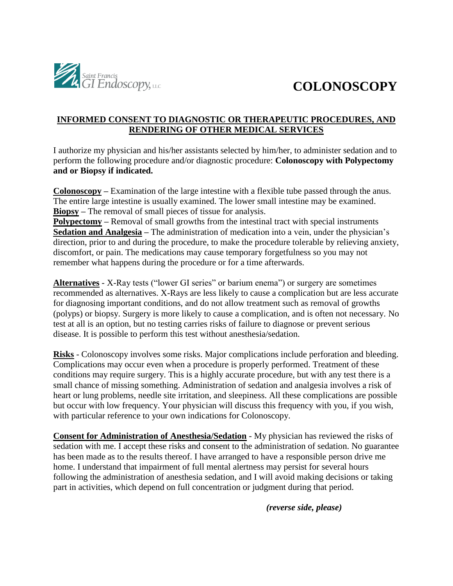

# **COLONOSCOPY**

## **INFORMED CONSENT TO DIAGNOSTIC OR THERAPEUTIC PROCEDURES, AND RENDERING OF OTHER MEDICAL SERVICES**

I authorize my physician and his/her assistants selected by him/her, to administer sedation and to perform the following procedure and/or diagnostic procedure: **Colonoscopy with Polypectomy and or Biopsy if indicated.** 

**Colonoscopy –** Examination of the large intestine with a flexible tube passed through the anus. The entire large intestine is usually examined. The lower small intestine may be examined. **Biopsy –** The removal of small pieces of tissue for analysis.

**Polypectomy** – Removal of small growths from the intestinal tract with special instruments **Sedation and Analgesia –** The administration of medication into a vein, under the physician's direction, prior to and during the procedure, to make the procedure tolerable by relieving anxiety, discomfort, or pain. The medications may cause temporary forgetfulness so you may not remember what happens during the procedure or for a time afterwards.

**Alternatives** - X-Ray tests ("lower GI series" or barium enema") or surgery are sometimes recommended as alternatives. X-Rays are less likely to cause a complication but are less accurate for diagnosing important conditions, and do not allow treatment such as removal of growths (polyps) or biopsy. Surgery is more likely to cause a complication, and is often not necessary. No test at all is an option, but no testing carries risks of failure to diagnose or prevent serious disease. It is possible to perform this test without anesthesia/sedation.

**Risks** - Colonoscopy involves some risks. Major complications include perforation and bleeding. Complications may occur even when a procedure is properly performed. Treatment of these conditions may require surgery. This is a highly accurate procedure, but with any test there is a small chance of missing something. Administration of sedation and analgesia involves a risk of heart or lung problems, needle site irritation, and sleepiness. All these complications are possible but occur with low frequency. Your physician will discuss this frequency with you, if you wish, with particular reference to your own indications for Colonoscopy.

**Consent for Administration of Anesthesia/Sedation** - My physician has reviewed the risks of sedation with me. I accept these risks and consent to the administration of sedation. No guarantee has been made as to the results thereof. I have arranged to have a responsible person drive me home. I understand that impairment of full mental alertness may persist for several hours following the administration of anesthesia sedation, and I will avoid making decisions or taking part in activities, which depend on full concentration or judgment during that period.

*(reverse side, please)*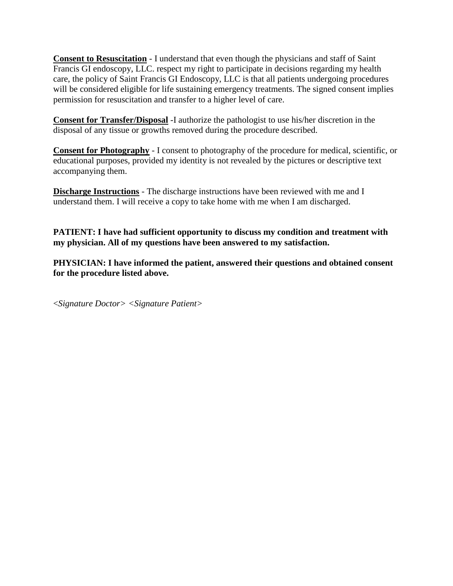**Consent to Resuscitation** - I understand that even though the physicians and staff of Saint Francis GI endoscopy, LLC. respect my right to participate in decisions regarding my health care, the policy of Saint Francis GI Endoscopy, LLC is that all patients undergoing procedures will be considered eligible for life sustaining emergency treatments. The signed consent implies permission for resuscitation and transfer to a higher level of care.

**Consent for Transfer/Disposal** -I authorize the pathologist to use his/her discretion in the disposal of any tissue or growths removed during the procedure described.

**Consent for Photography** - I consent to photography of the procedure for medical, scientific, or educational purposes, provided my identity is not revealed by the pictures or descriptive text accompanying them.

**Discharge Instructions** - The discharge instructions have been reviewed with me and I understand them. I will receive a copy to take home with me when I am discharged.

**PATIENT: I have had sufficient opportunity to discuss my condition and treatment with my physician. All of my questions have been answered to my satisfaction.** 

**PHYSICIAN: I have informed the patient, answered their questions and obtained consent for the procedure listed above.** 

<*Signature Doctor> <Signature Patient>*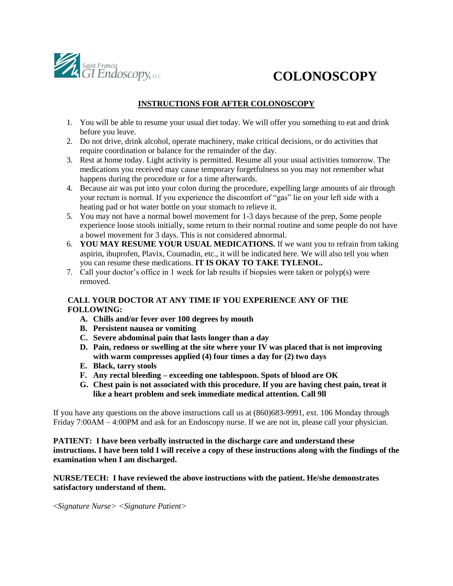

# **COLONOSCOPY**

### **INSTRUCTIONS FOR AFTER COLONOSCOPY**

- 1. You will be able to resume your usual diet today. We will offer you something to eat and drink before you leave.
- 2. Do not drive, drink alcohol, operate machinery, make critical decisions, or do activities that require coordination or balance for the remainder of the day.
- 3. Rest at home today. Light activity is permitted. Resume all your usual activities tomorrow. The medications you received may cause temporary forgetfulness so you may not remember what happens during the procedure or for a time afterwards.
- 4. Because air was put into your colon during the procedure, expelling large amounts of air through your rectum is normal. If you experience the discomfort of "gas" lie on your left side with a heating pad or hot water bottle on your stomach to relieve it.
- 5. You may not have a normal bowel movement for 1-3 days because of the prep, Some people experience loose stools initially, some return to their normal routine and some people do not have a bowel movement for 3 days. This is not considered abnormal.
- 6. **YOU MAY RESUME YOUR USUAL MEDICATIONS.** If we want you to refrain from taking aspirin, ibuprofen, Plavix, Coumadin, etc., it will be indicated here. We will also tell you when you can resume these medications. **IT IS OKAY TO TAKE TYLENOL.**
- 7. Call your doctor's office in 1 week for lab results if biopsies were taken or polyp(s) were removed.

### **CALL YOUR DOCTOR AT ANY TIME IF YOU EXPERIENCE ANY OF THE FOLLOWING:**

- **A. Chills and/or fever over 100 degrees by mouth**
- **B. Persistent nausea or vomiting**
- **C. Severe abdominal pain that lasts longer than a day**
- **D. Pain, redness or swelling at the site where your IV was placed that is not improving with warm compresses applied (4) four times a day for (2) two days**
- **E. Black, tarry stools**
- **F. Any rectal bleeding – exceeding one tablespoon. Spots of blood are OK**
- **G. Chest pain is not associated with this procedure. If you are having chest pain, treat it like a heart problem and seek immediate medical attention. Call 9ll**

If you have any questions on the above instructions call us at (860)683-9991, ext. 106 Monday through Friday 7:00AM – 4:00PM and ask for an Endoscopy nurse. If we are not in, please call your physician.

**PATIENT: I have been verbally instructed in the discharge care and understand these instructions. I have been told I will receive a copy of these instructions along with the findings of the examination when I am discharged.** 

**NURSE/TECH: I have reviewed the above instructions with the patient. He/she demonstrates satisfactory understand of them.** 

<*Signature Nurse> <Signature Patient>*